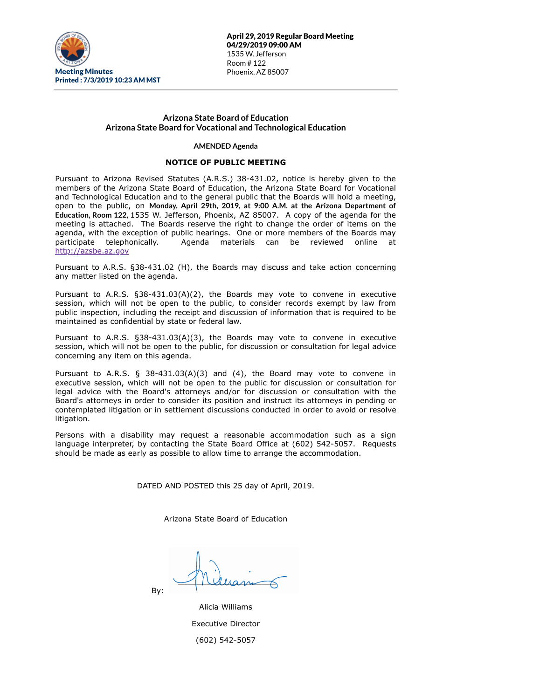

April 29, 2019 Regular Board Meeting 04/29/2019 09:00 AM 1535 W. Jefferson Room # 122 Phoenix, AZ 85007

# **Arizona State Board of Education Arizona State Board for Vocational and Technological Education**

#### **AMENDED Agenda**

## **NOTICE OF PUBLIC MEETING**

Pursuant to Arizona Revised Statutes (A.R.S.) 38-431.02, notice is hereby given to the members of the Arizona State Board of Education, the Arizona State Board for Vocational and Technological Education and to the general public that the Boards will hold a meeting, open to the public, on **Monday, April 29th, 2019, at 9:00 A.M. at the Arizona Department of Education, Room 122,** 1535 W. Jefferson, Phoenix, AZ 85007. A copy of the agenda for the meeting is attached. The Boards reserve the right to change the order of items on the agenda, with the exception of public hearings. One or more members of the Boards may participate telephonically. Agenda materials can be reviewed online at [http://azsbe.az.gov](http://azsbe.az.gov/)

Pursuant to A.R.S. §38-431.02 (H), the Boards may discuss and take action concerning any matter listed on the agenda.

Pursuant to A.R.S. §38-431.03(A)(2), the Boards may vote to convene in executive session, which will not be open to the public, to consider records exempt by law from public inspection, including the receipt and discussion of information that is required to be maintained as confidential by state or federal law.

Pursuant to A.R.S. §38-431.03(A)(3), the Boards may vote to convene in executive session, which will not be open to the public, for discussion or consultation for legal advice concerning any item on this agenda.

Pursuant to A.R.S. § 38-431.03(A)(3) and (4), the Board may vote to convene in executive session, which will not be open to the public for discussion or consultation for legal advice with the Board's attorneys and/or for discussion or consultation with the Board's attorneys in order to consider its position and instruct its attorneys in pending or contemplated litigation or in settlement discussions conducted in order to avoid or resolve litigation.

Persons with a disability may request a reasonable accommodation such as a sign language interpreter, by contacting the State Board Office at (602) 542-5057. Requests should be made as early as possible to allow time to arrange the accommodation.

DATED AND POSTED this 25 day of April, 2019.

Arizona State Board of Education

By:

| Alicia Williams           |
|---------------------------|
| <b>Executive Director</b> |
| (602) 542-5057            |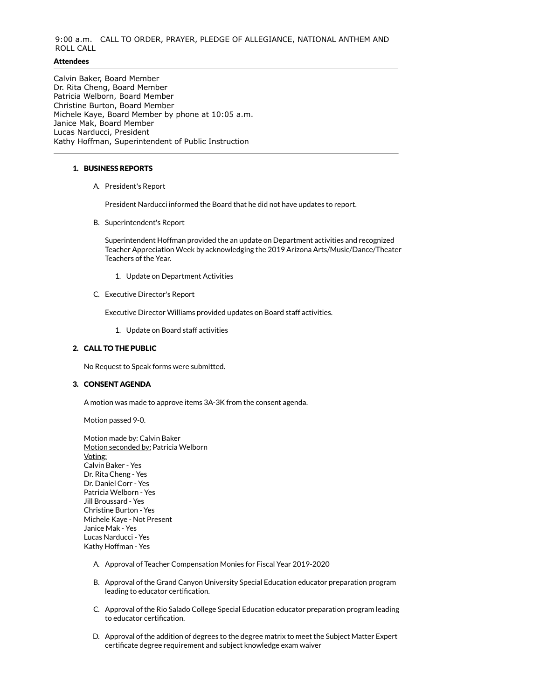# 9:00 a.m. CALL TO ORDER, PRAYER, PLEDGE OF ALLEGIANCE, NATIONAL ANTHEM AND ROLL CALL

## **Attendees**

Calvin Baker, Board Member Dr. Rita Cheng, Board Member Patricia Welborn, Board Member Christine Burton, Board Member Michele Kaye, Board Member by phone at 10:05 a.m. Janice Mak, Board Member Lucas Narducci, President Kathy Hoffman, Superintendent of Public Instruction

## 1. BUSINESS REPORTS

A. President's Report

President Narducci informed the Board that he did not have updates to report.

B. Superintendent's Report

Superintendent Hoffman provided the an update on Department activities and recognized Teacher Appreciation Week by acknowledging the 2019 Arizona Arts/Music/Dance/Theater Teachers of the Year.

- 1. Update on Department Activities
- C. Executive Director's Report

Executive Director Williams provided updates on Board staff activities.

1. Update on Board staff activities

### 2. CALL TO THE PUBLIC

No Request to Speak forms were submitted.

#### 3. CONSENT AGENDA

A motion was made to approve items 3A-3K from the consent agenda.

Motion passed 9-0.

Motion made by: Calvin Baker Motion seconded by: Patricia Welborn Voting: Calvin Baker - Yes Dr. Rita Cheng - Yes Dr. Daniel Corr - Yes Patricia Welborn - Yes Jill Broussard - Yes Christine Burton - Yes Michele Kaye - Not Present Janice Mak - Yes Lucas Narducci - Yes Kathy Hoffman - Yes

- A. Approval of Teacher Compensation Monies for Fiscal Year 2019-2020
- B. Approval of the Grand Canyon University Special Education educator preparation program leading to educator certification.
- C. Approval of the Rio Salado College Special Education educator preparation program leading to educator certification.
- D. Approval of the addition of degrees to the degree matrix to meet the Subject Matter Expert certificate degree requirement and subject knowledge exam waiver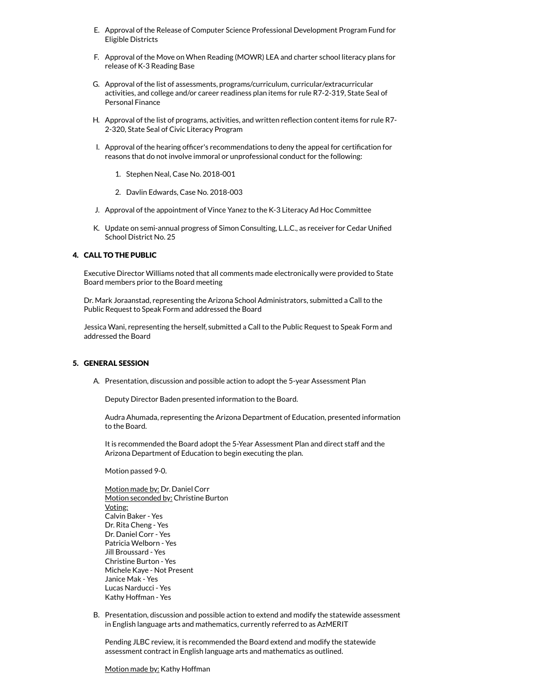- E. Approval of the Release of Computer Science Professional Development Program Fund for Eligible Districts
- F. Approval of the Move on When Reading (MOWR) LEA and charter school literacy plans for release of K-3 Reading Base
- G. Approval of the list of assessments, programs/curriculum, curricular/extracurricular activities, and college and/or career readiness plan items for rule R7-2-319, State Seal of Personal Finance
- H. Approval of the list of programs, activities, and written reflection content items for rule R7-2-320, State Seal of Civic Literacy Program
- I. Approval of the hearing officer's recommendations to deny the appeal for certification for reasons that do not involve immoral or unprofessional conduct for the following:
	- 1. Stephen Neal, Case No. 2018-001
	- 2. Davlin Edwards, Case No. 2018-003
- J. Approval of the appointment of Vince Yanez to the K-3 Literacy Ad Hoc Committee
- K. Update on semi-annual progress of Simon Consulting, L.L.C., as receiver for Cedar Unified School District No. 25

## 4. CALL TO THE PUBLIC

Executive Director Williams noted that all comments made electronically were provided to State Board members prior to the Board meeting

Dr. Mark Joraanstad, representing the Arizona School Administrators, submitted a Call to the Public Request to Speak Form and addressed the Board

Jessica Wani, representing the herself, submitted a Call to the Public Request to Speak Form and addressed the Board

#### 5. GENERAL SESSION

A. Presentation, discussion and possible action to adopt the 5-year Assessment Plan

Deputy Director Baden presented information to the Board.

Audra Ahumada, representing the Arizona Department of Education, presented information to the Board.

It is recommended the Board adopt the 5-Year Assessment Plan and direct staff and the Arizona Department of Education to begin executing the plan.

Motion passed 9-0.

Motion made by: Dr. Daniel Corr Motion seconded by: Christine Burton Voting: Calvin Baker - Yes Dr. Rita Cheng - Yes Dr. Daniel Corr - Yes Patricia Welborn - Yes Jill Broussard - Yes Christine Burton - Yes Michele Kaye - Not Present Janice Mak - Yes Lucas Narducci - Yes Kathy Hoffman - Yes

B. Presentation, discussion and possible action to extend and modify the statewide assessment in English language arts and mathematics, currently referred to as AzMERIT

Pending JLBC review, it is recommended the Board extend and modify the statewide assessment contract in English language arts and mathematics as outlined.

#### Motion made by: Kathy Hoffman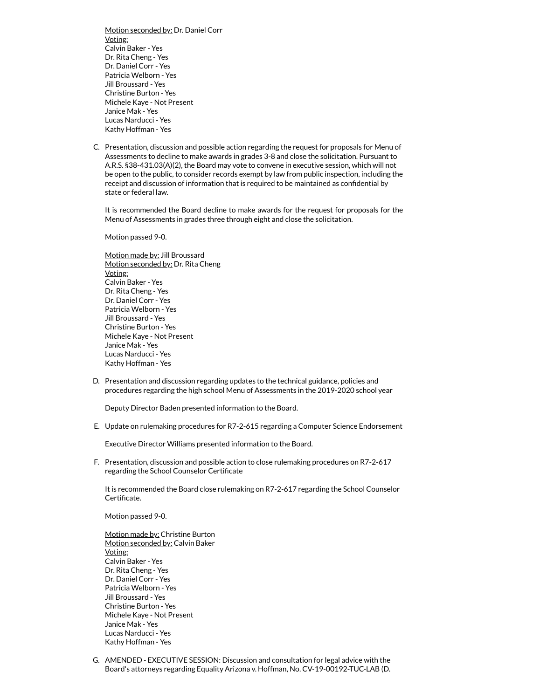Motion seconded by: Dr. Daniel Corr Voting: Calvin Baker - Yes Dr. Rita Cheng - Yes Dr. Daniel Corr - Yes Patricia Welborn - Yes Jill Broussard - Yes Christine Burton - Yes Michele Kaye - Not Present Janice Mak - Yes Lucas Narducci - Yes Kathy Hoffman - Yes

C. Presentation, discussion and possible action regarding the request for proposals for Menu of Assessments to decline to make awards in grades 3-8 and close the solicitation. Pursuant to A.R.S. §38-431.03(A)(2), the Board may vote to convene in executive session, which will not be open to the public, to consider records exempt by law from public inspection, including the receipt and discussion of information that is required to be maintained as confidential by state or federal law.

It is recommended the Board decline to make awards for the request for proposals for the Menu of Assessments in grades three through eight and close the solicitation.

Motion passed 9-0.

Motion made by: Jill Broussard Motion seconded by: Dr. Rita Cheng Voting: Calvin Baker - Yes Dr. Rita Cheng - Yes Dr. Daniel Corr - Yes Patricia Welborn - Yes Jill Broussard - Yes Christine Burton - Yes Michele Kaye - Not Present Janice Mak - Yes Lucas Narducci - Yes Kathy Hoffman - Yes

D. Presentation and discussion regarding updates to the technical guidance, policies and procedures regarding the high school Menu of Assessments in the 2019-2020 school year

Deputy Director Baden presented information to the Board.

E. Update on rulemaking procedures for R7-2-615 regarding a Computer Science Endorsement

Executive Director Williams presented information to the Board.

F. Presentation, discussion and possible action to close rulemaking procedures on R7-2-617 regarding the School Counselor Certificate

It is recommended the Board close rulemaking on R7-2-617 regarding the School Counselor Certificate.

Motion passed 9-0.

Motion made by: Christine Burton Motion seconded by: Calvin Baker Voting: Calvin Baker - Yes Dr. Rita Cheng - Yes Dr. Daniel Corr - Yes Patricia Welborn - Yes Jill Broussard - Yes Christine Burton - Yes Michele Kaye - Not Present Janice Mak - Yes Lucas Narducci - Yes Kathy Hoffman - Yes

G. AMENDED - EXECUTIVE SESSION: Discussion and consultation for legal advice with the Board's attorneys regarding Equality Arizona v. Hoffman, No. CV-19-00192-TUC-LAB (D.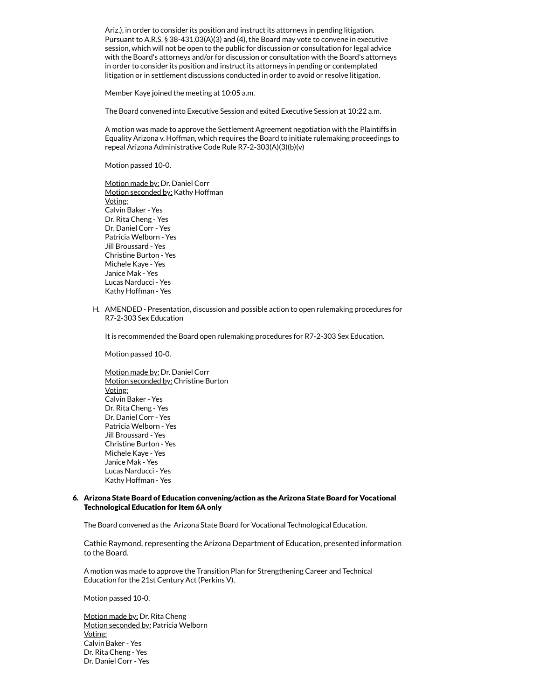Ariz.), in order to consider its position and instruct its attorneys in pending litigation. Pursuant to A.R.S. § 38-431.03(A)(3) and (4), the Board may vote to convene in executive session, which will not be open to the public for discussion or consultation for legal advice with the Board's attorneys and/or for discussion or consultation with the Board's attorneys in order to consider its position and instruct its attorneys in pending or contemplated litigation or in settlement discussions conducted in order to avoid or resolve litigation.

Member Kaye joined the meeting at 10:05 a.m.

The Board convened into Executive Session and exited Executive Session at 10:22 a.m.

A motion was made to approve the Settlement Agreement negotiation with the Plaintiffs in Equality Arizona v. Hoffman, which requires the Board to initiate rulemaking proceedings to repeal Arizona Administrative Code Rule R7-2-303(A)(3)(b)(v)

Motion passed 10-0.

Motion made by: Dr. Daniel Corr Motion seconded by: Kathy Hoffman Voting: Calvin Baker - Yes Dr. Rita Cheng - Yes Dr. Daniel Corr - Yes Patricia Welborn - Yes Jill Broussard - Yes Christine Burton - Yes Michele Kaye - Yes Janice Mak - Yes Lucas Narducci - Yes Kathy Hoffman - Yes

H. AMENDED - Presentation, discussion and possible action to open rulemaking procedures for R7-2-303 Sex Education

It is recommended the Board open rulemaking procedures for R7-2-303 Sex Education.

Motion passed 10-0.

Motion made by: Dr. Daniel Corr Motion seconded by: Christine Burton Voting: Calvin Baker - Yes Dr. Rita Cheng - Yes Dr. Daniel Corr - Yes Patricia Welborn - Yes Jill Broussard - Yes Christine Burton - Yes Michele Kaye - Yes Janice Mak - Yes Lucas Narducci - Yes Kathy Hoffman - Yes

### 6. Arizona State Board of Education convening/action as the Arizona State Board for Vocational Technological Education for Item 6A only

The Board convened as the Arizona State Board for Vocational Technological Education.

Cathie Raymond, representing the Arizona Department of Education, presented information to the Board.

A motion was made to approve the Transition Plan for Strengthening Career and Technical Education for the 21st Century Act (Perkins V).

Motion passed 10-0.

Motion made by: Dr. Rita Cheng Motion seconded by: Patricia Welborn Voting: Calvin Baker - Yes Dr. Rita Cheng - Yes Dr. Daniel Corr - Yes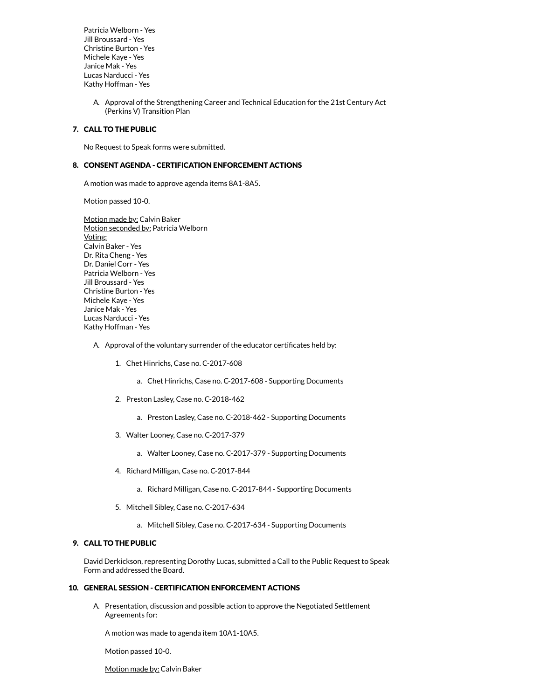Patricia Welborn - Yes Jill Broussard - Yes Christine Burton - Yes Michele Kaye - Yes Janice Mak - Yes Lucas Narducci - Yes Kathy Hoffman - Yes

> A. Approval of the Strengthening Career and Technical Education for the 21st Century Act (Perkins V) Transition Plan

## 7. CALL TO THE PUBLIC

No Request to Speak forms were submitted.

## 8. CONSENT AGENDA - CERTIFICATION ENFORCEMENT ACTIONS

A motion was made to approve agenda items 8A1-8A5.

Motion passed 10-0.

Motion made by: Calvin Baker Motion seconded by: Patricia Welborn Voting: Calvin Baker - Yes Dr. Rita Cheng - Yes Dr. Daniel Corr - Yes Patricia Welborn - Yes Jill Broussard - Yes Christine Burton - Yes Michele Kaye - Yes Janice Mak - Yes Lucas Narducci - Yes Kathy Hoffman - Yes

#### A. Approval of the voluntary surrender of the educator certificates held by:

- 1. Chet Hinrichs, Case no. C-2017-608
	- a. Chet Hinrichs, Case no. C-2017-608 Supporting Documents
- 2. Preston Lasley, Case no. C-2018-462
	- a. Preston Lasley, Case no. C-2018-462 Supporting Documents
- 3. Walter Looney, Case no. C-2017-379
	- a. Walter Looney, Case no. C-2017-379 Supporting Documents
- 4. Richard Milligan, Case no. C-2017-844
	- a. Richard Milligan, Case no. C-2017-844 Supporting Documents
- 5. Mitchell Sibley, Case no. C-2017-634
	- a. Mitchell Sibley, Case no. C-2017-634 Supporting Documents

### 9. CALL TO THE PUBLIC

David Derkickson, representing Dorothy Lucas, submitted a Call to the Public Request to Speak Form and addressed the Board.

#### 10. GENERAL SESSION - CERTIFICATION ENFORCEMENT ACTIONS

A. Presentation, discussion and possible action to approve the Negotiated Settlement Agreements for:

A motion was made to agenda item 10A1-10A5.

Motion passed 10-0.

Motion made by: Calvin Baker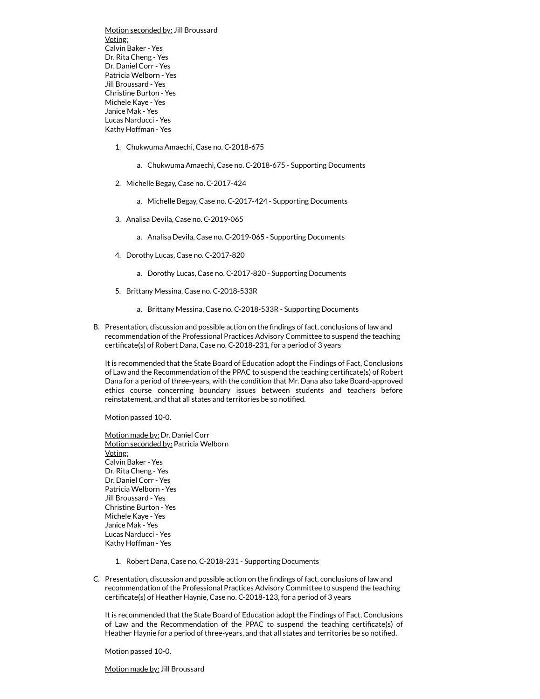Motion seconded by: Jill Broussard Voting: Calvin Baker - Yes Dr. Rita Cheng - Yes Dr. Daniel Corr - Yes Patricia Welborn - Yes Jill Broussard - Yes Christine Burton - Yes Michele Kaye - Yes Janice Mak - Yes Lucas Narducci - Yes Kathy Hoffman - Yes

- 1. Chukwuma Amaechi, Case no. C-2018-675
	- a. Chukwuma Amaechi, Case no. C-2018-675 Supporting Documents
- 2. Michelle Begay, Case no. C-2017-424
	- a. Michelle Begay, Case no. C-2017-424 Supporting Documents
- 3. Analisa Devila, Case no. C-2019-065
	- a. Analisa Devila, Case no. C-2019-065 Supporting Documents
- 4. Dorothy Lucas, Case no. C-2017-820
	- a. Dorothy Lucas, Case no. C-2017-820 Supporting Documents
- 5. Brittany Messina, Case no. C-2018-533R
	- a. Brittany Messina, Case no. C-2018-533R Supporting Documents
- B. Presentation, discussion and possible action on the findings of fact, conclusions of law and recommendation of the Professional Practices Advisory Committee to suspend the teaching certificate(s) of Robert Dana, Case no. C-2018-231, for a period of 3 years

It is recommended that the State Board of Education adopt the Findings of Fact, Conclusions of Law and the Recommendation of the PPAC to suspend the teaching certificate(s) of Robert Dana for a period of three-years, with the condition that Mr. Dana also take Board-approved ethics course concerning boundary issues between students and teachers before reinstatement, and that all states and territories be so notified.

Motion passed 10-0.

Motion made by: Dr. Daniel Corr Motion seconded by: Patricia Welborn Voting: Calvin Baker - Yes Dr. Rita Cheng - Yes Dr. Daniel Corr - Yes Patricia Welborn - Yes Jill Broussard - Yes Christine Burton - Yes Michele Kaye - Yes Janice Mak - Yes Lucas Narducci - Yes Kathy Hoffman - Yes

- 1. Robert Dana, Case no. C-2018-231 Supporting Documents
- C. Presentation, discussion and possible action on the findings of fact, conclusions of law and recommendation of the Professional Practices Advisory Committee to suspend the teaching certificate(s) of Heather Haynie, Case no. C-2018-123, for a period of 3 years

It is recommended that the State Board of Education adopt the Findings of Fact, Conclusions of Law and the Recommendation of the PPAC to suspend the teaching certificate(s) of Heather Haynie for a period of three-years, and that all states and territories be so notified.

Motion passed 10-0.

Motion made by: Jill Broussard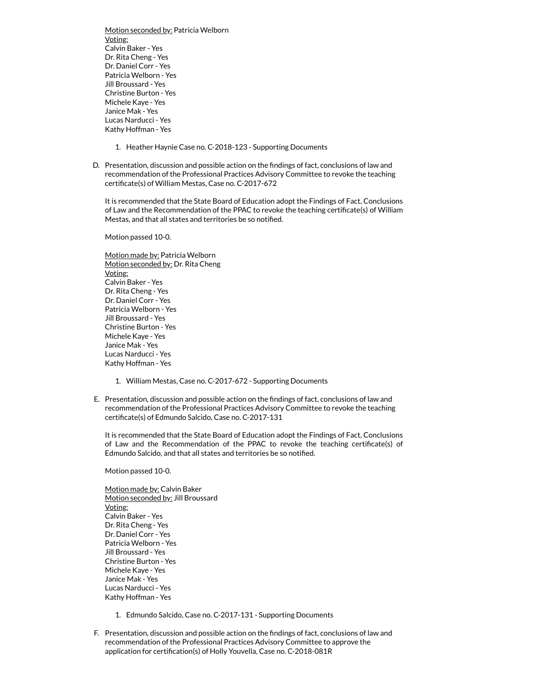Motion seconded by: Patricia Welborn Voting: Calvin Baker - Yes Dr. Rita Cheng - Yes Dr. Daniel Corr - Yes Patricia Welborn - Yes Jill Broussard - Yes Christine Burton - Yes Michele Kaye - Yes Janice Mak - Yes Lucas Narducci - Yes Kathy Hoffman - Yes

- 1. Heather Haynie Case no. C-2018-123 Supporting Documents
- D. Presentation, discussion and possible action on the findings of fact, conclusions of law and recommendation of the Professional Practices Advisory Committee to revoke the teaching certificate(s) of William Mestas, Case no. C-2017-672

It is recommended that the State Board of Education adopt the Findings of Fact, Conclusions of Law and the Recommendation of the PPAC to revoke the teaching certificate(s) of William Mestas, and that all states and territories be so notified.

Motion passed 10-0.

Motion made by: Patricia Welborn Motion seconded by: Dr. Rita Cheng Voting: Calvin Baker - Yes Dr. Rita Cheng - Yes Dr. Daniel Corr - Yes Patricia Welborn - Yes Jill Broussard - Yes Christine Burton - Yes Michele Kaye - Yes Janice Mak - Yes Lucas Narducci - Yes Kathy Hoffman - Yes

- 1. William Mestas, Case no. C-2017-672 Supporting Documents
- E. Presentation, discussion and possible action on the findings of fact, conclusions of law and recommendation of the Professional Practices Advisory Committee to revoke the teaching certificate(s) of Edmundo Salcido, Case no. C-2017-131

It is recommended that the State Board of Education adopt the Findings of Fact, Conclusions of Law and the Recommendation of the PPAC to revoke the teaching certificate(s) of Edmundo Salcido, and that all states and territories be so notified.

Motion passed 10-0.

Motion made by: Calvin Baker Motion seconded by: Jill Broussard Voting: Calvin Baker - Yes Dr. Rita Cheng - Yes Dr. Daniel Corr - Yes Patricia Welborn - Yes Jill Broussard - Yes Christine Burton - Yes Michele Kaye - Yes Janice Mak - Yes Lucas Narducci - Yes Kathy Hoffman - Yes

- 1. Edmundo Salcido, Case no. C-2017-131 Supporting Documents
- F. Presentation, discussion and possible action on the findings of fact, conclusions of law and recommendation of the Professional Practices Advisory Committee to approve the application for certification(s) of Holly Youvella, Case no. C-2018-081R